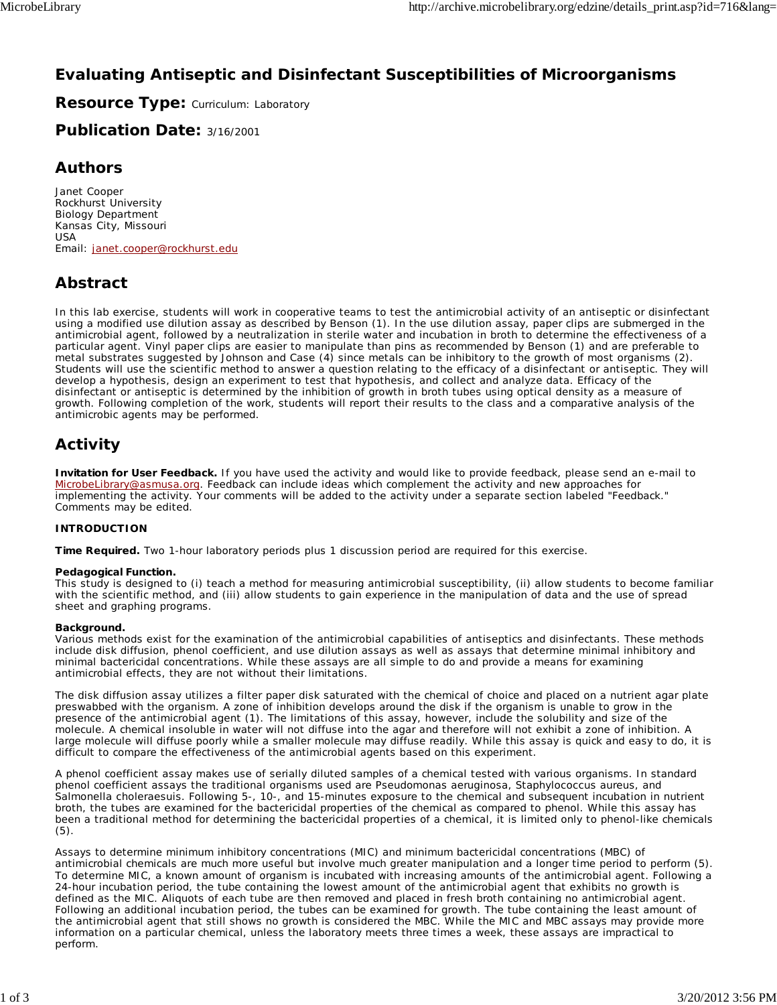## **Evaluating Antiseptic and Disinfectant Susceptibilities of Microorganisms**

**Resource Type: Curriculum: Laboratory** 

**Publication Date:** 3/16/2001

## **Authors**

*Janet Cooper* Rockhurst University Biology Department Kansas City, Missouri USA Email: janet.cooper@rockhurst.edu

## **Abstract**

In this lab exercise, students will work in cooperative teams to test the antimicrobial activity of an antiseptic or disinfectant using a modified use dilution assay as described by Benson (1). In the use dilution assay, paper clips are submerged in the antimicrobial agent, followed by a neutralization in sterile water and incubation in broth to determine the effectiveness of a particular agent. Vinyl paper clips are easier to manipulate than pins as recommended by Benson (1) and are preferable to metal substrates suggested by Johnson and Case (4) since metals can be inhibitory to the growth of most organisms (2). Students will use the scientific method to answer a question relating to the efficacy of a disinfectant or antiseptic. They will develop a hypothesis, design an experiment to test that hypothesis, and collect and analyze data. Efficacy of the disinfectant or antiseptic is determined by the inhibition of growth in broth tubes using optical density as a measure of growth. Following completion of the work, students will report their results to the class and a comparative analysis of the antimicrobic agents may be performed.

# **Activity**

**Invitation for User Feedback.** If you have used the activity and would like to provide feedback, please send an e-mail to MicrobeLibrary@asmusa.org. Feedback can include ideas which complement the activity and new approaches for implementing the activity. Your comments will be added to the activity under a separate section labeled "Feedback." Comments may be edited.

## **INTRODUCTION**

**Time Required.** Two 1-hour laboratory periods plus 1 discussion period are required for this exercise.

## **Pedagogical Function.**

This study is designed to (i) teach a method for measuring antimicrobial susceptibility, (ii) allow students to become familiar with the scientific method, and (iii) allow students to gain experience in the manipulation of data and the use of spread sheet and graphing programs.

## **Background.**

Various methods exist for the examination of the antimicrobial capabilities of antiseptics and disinfectants. These methods include disk diffusion, phenol coefficient, and use dilution assays as well as assays that determine minimal inhibitory and minimal bactericidal concentrations. While these assays are all simple to do and provide a means for examining antimicrobial effects, they are not without their limitations.

The disk diffusion assay utilizes a filter paper disk saturated with the chemical of choice and placed on a nutrient agar plate preswabbed with the organism. A zone of inhibition develops around the disk if the organism is unable to grow in the presence of the antimicrobial agent (1). The limitations of this assay, however, include the solubility and size of the molecule. A chemical insoluble in water will not diffuse into the agar and therefore will not exhibit a zone of inhibition. A large molecule will diffuse poorly while a smaller molecule may diffuse readily. While this assay is quick and easy to do, it is difficult to compare the effectiveness of the antimicrobial agents based on this experiment.

A phenol coefficient assay makes use of serially diluted samples of a chemical tested with various organisms. In standard phenol coefficient assays the traditional organisms used are *Pseudomonas aeruginosa*, *Staphylococcus aureus*, and *Salmonella choleraesuis*. Following 5-, 10-, and 15-minutes exposure to the chemical and subsequent incubation in nutrient broth, the tubes are examined for the bactericidal properties of the chemical as compared to phenol. While this assay has been a traditional method for determining the bactericidal properties of a chemical, it is limited only to phenol-like chemicals (5).

Assays to determine minimum inhibitory concentrations (MIC) and minimum bactericidal concentrations (MBC) of antimicrobial chemicals are much more useful but involve much greater manipulation and a longer time period to perform (5). To determine MIC, a known amount of organism is incubated with increasing amounts of the antimicrobial agent. Following a 24-hour incubation period, the tube containing the lowest amount of the antimicrobial agent that exhibits no growth is defined as the MIC. Aliquots of each tube are then removed and placed in fresh broth containing no antimicrobial agent. Following an additional incubation period, the tubes can be examined for growth. The tube containing the least amount of the antimicrobial agent that still shows no growth is considered the MBC. While the MIC and MBC assays may provide more information on a particular chemical, unless the laboratory meets three times a week, these assays are impractical to perform.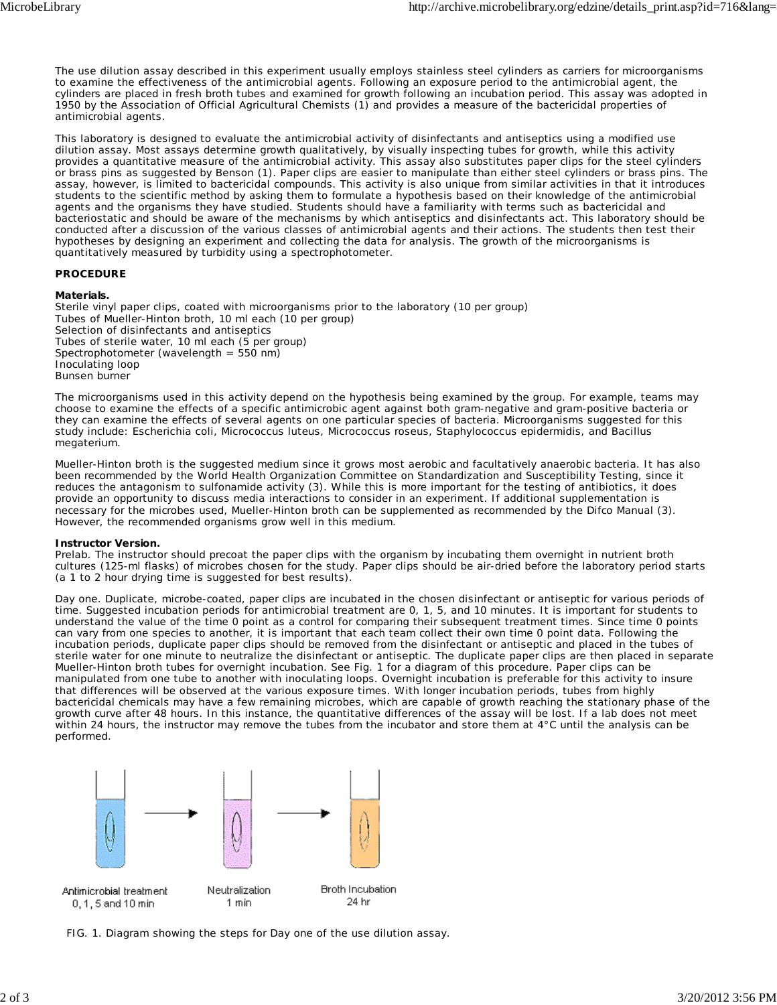The use dilution assay described in this experiment usually employs stainless steel cylinders as carriers for microorganisms to examine the effectiveness of the antimicrobial agents. Following an exposure period to the antimicrobial agent, the cylinders are placed in fresh broth tubes and examined for growth following an incubation period. This assay was adopted in 1950 by the Association of Official Agricultural Chemists (1) and provides a measure of the bactericidal properties of antimicrobial agents.

This laboratory is designed to evaluate the antimicrobial activity of disinfectants and antiseptics using a modified use dilution assay. Most assays determine growth qualitatively, by visually inspecting tubes for growth, while this activity provides a quantitative measure of the antimicrobial activity. This assay also substitutes paper clips for the steel cylinders or brass pins as suggested by Benson (1). Paper clips are easier to manipulate than either steel cylinders or brass pins. The assay, however, is limited to bactericidal compounds. This activity is also unique from similar activities in that it introduces students to the scientific method by asking them to formulate a hypothesis based on their knowledge of the antimicrobial agents and the organisms they have studied. Students should have a familiarity with terms such as bactericidal and bacteriostatic and should be aware of the mechanisms by which antiseptics and disinfectants act. This laboratory should be conducted after a discussion of the various classes of antimicrobial agents and their actions. The students then test their hypotheses by designing an experiment and collecting the data for analysis. The growth of the microorganisms is quantitatively measured by turbidity using a spectrophotometer.

## **PROCEDURE**

### **Materials.**

Sterile vinyl paper clips, coated with microorganisms prior to the laboratory (10 per group) Tubes of Mueller-Hinton broth, 10 ml each (10 per group) Selection of disinfectants and antiseptics Tubes of sterile water, 10 ml each (5 per group) Spectrophotometer (wavelength = 550 nm) Inoculating loop Bunsen burner

The microorganisms used in this activity depend on the hypothesis being examined by the group. For example, teams may choose to examine the effects of a specific antimicrobic agent against both gram-negative and gram-positive bacteria or they can examine the effects of several agents on one particular species of bacteria. Microorganisms suggested for this study include: *Escherichia coli*, *Micrococcus luteus*, *Micrococcus roseus*, *Staphylococcus epidermidis*, and *Bacillus megaterium*.

Mueller-Hinton broth is the suggested medium since it grows most aerobic and facultatively anaerobic bacteria. It has also been recommended by the World Health Organization Committee on Standardization and Susceptibility Testing, since it reduces the antagonism to sulfonamide activity (3). While this is more important for the testing of antibiotics, it does provide an opportunity to discuss media interactions to consider in an experiment. If additional supplementation is necessary for the microbes used, Mueller-Hinton broth can be supplemented as recommended by the Difco Manual (3). However, the recommended organisms grow well in this medium.

#### **Instructor Version.**

*Prelab.* The instructor should precoat the paper clips with the organism by incubating them overnight in nutrient broth cultures (125-ml flasks) of microbes chosen for the study. Paper clips should be air-dried before the laboratory period starts (a 1 to 2 hour drying time is suggested for best results).

*Day one.* Duplicate, microbe-coated, paper clips are incubated in the chosen disinfectant or antiseptic for various periods of time. Suggested incubation periods for antimicrobial treatment are 0, 1, 5, and 10 minutes. It is important for students to understand the value of the time 0 point as a control for comparing their subsequent treatment times. Since time 0 points can vary from one species to another, it is important that each team collect their own time 0 point data. Following the incubation periods, duplicate paper clips should be removed from the disinfectant or antiseptic and placed in the tubes of sterile water for one minute to neutralize the disinfectant or antiseptic. The duplicate paper clips are then placed in separate Mueller-Hinton broth tubes for overnight incubation. See Fig. 1 for a diagram of this procedure. Paper clips can be manipulated from one tube to another with inoculating loops. Overnight incubation is preferable for this activity to insure that differences will be observed at the various exposure times. With longer incubation periods, tubes from highly bactericidal chemicals may have a few remaining microbes, which are capable of growth reaching the stationary phase of the growth curve after 48 hours. In this instance, the quantitative differences of the assay will be lost. If a lab does not meet within 24 hours, the instructor may remove the tubes from the incubator and store them at 4°C until the analysis can be performed.



FIG. 1. Diagram showing the steps for Day one of the use dilution assay.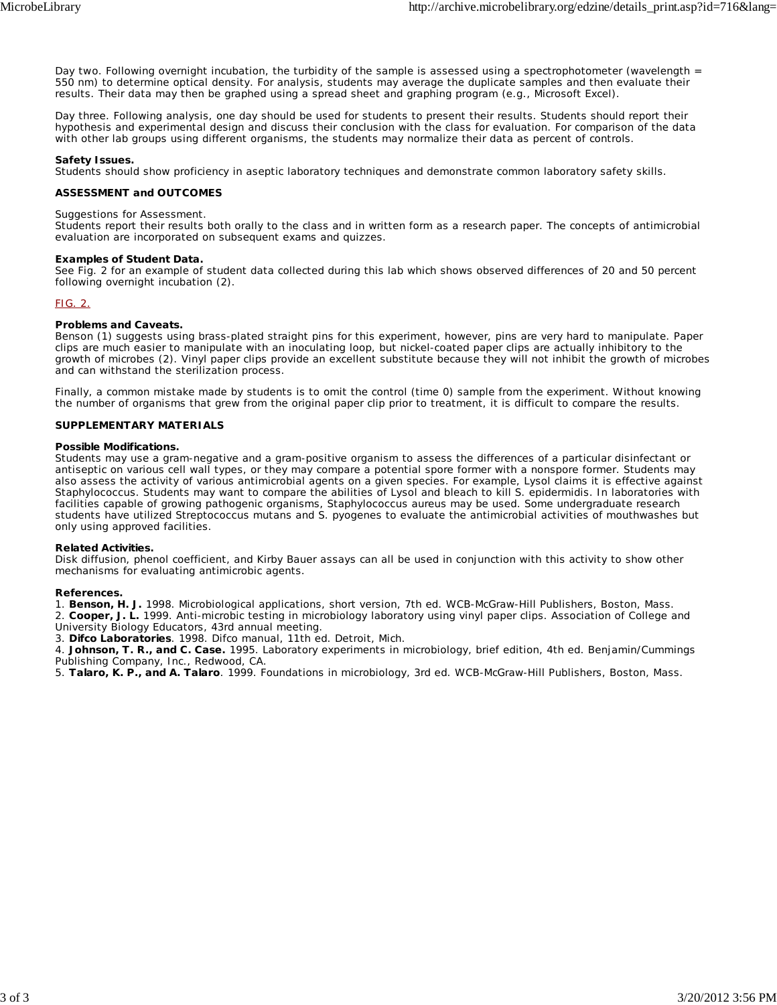*Day two.* Following overnight incubation, the turbidity of the sample is assessed using a spectrophotometer (wavelength = 550 nm) to determine optical density. For analysis, students may average the duplicate samples and then evaluate their results. Their data may then be graphed using a spread sheet and graphing program (e.g., Microsoft Excel).

*Day three.* Following analysis, one day should be used for students to present their results. Students should report their hypothesis and experimental design and discuss their conclusion with the class for evaluation. For comparison of the data with other lab groups using different organisms, the students may normalize their data as percent of controls.

## **Safety Issues.**

Students should show proficiency in aseptic laboratory techniques and demonstrate common laboratory safety skills.

## **ASSESSMENT and OUTCOMES**

#### Suggestions for Assessment.

Students report their results both orally to the class and in written form as a research paper. The concepts of antimicrobial evaluation are incorporated on subsequent exams and quizzes.

### **Examples of Student Data.**

See Fig. 2 for an example of student data collected during this lab which shows observed differences of 20 and 50 percent following overnight incubation (2).

### FIG. 2.

## **Problems and Caveats.**

Benson (1) suggests using brass-plated straight pins for this experiment, however, pins are very hard to manipulate. Paper clips are much easier to manipulate with an inoculating loop, but nickel-coated paper clips are actually inhibitory to the growth of microbes (2). Vinyl paper clips provide an excellent substitute because they will not inhibit the growth of microbes and can withstand the sterilization process.

Finally, a common mistake made by students is to omit the control (time 0) sample from the experiment. Without knowing the number of organisms that grew from the original paper clip prior to treatment, it is difficult to compare the results.

## **SUPPLEMENTARY MATERIALS**

#### **Possible Modifications.**

Students may use a gram-negative and a gram-positive organism to assess the differences of a particular disinfectant or antiseptic on various cell wall types, or they may compare a potential spore former with a nonspore former. Students may also assess the activity of various antimicrobial agents on a given species. For example, Lysol claims it is effective against *Staphylococcus*. Students may want to compare the abilities of Lysol and bleach to kill *S. epidermidis*. In laboratories with facilities capable of growing pathogenic organisms, *Staphylococcus aureus* may be used. Some undergraduate research students have utilized *Streptococcus mutans* and *S. pyogenes* to evaluate the antimicrobial activities of mouthwashes but only using approved facilities.

#### **Related Activities.**

Disk diffusion, phenol coefficient, and Kirby Bauer assays can all be used in conjunction with this activity to show other mechanisms for evaluating antimicrobic agents.

#### **References.**

1. **Benson, H. J.** 1998. Microbiological applications, short version, 7th ed. WCB-McGraw-Hill Publishers, Boston, Mass. 2. **Cooper, J. L.** 1999. Anti-microbic testing in microbiology laboratory using vinyl paper clips. Association of College and University Biology Educators, 43rd annual meeting.

3. **Difco Laboratories**. 1998. Difco manual, 11th ed. Detroit, Mich.

4. **Johnson, T. R., and C. Case.** 1995. Laboratory experiments in microbiology, brief edition, 4th ed. Benjamin/Cummings Publishing Company, Inc., Redwood, CA.

5. **Talaro, K. P., and A. Talaro**. 1999. Foundations in microbiology, 3rd ed. WCB-McGraw-Hill Publishers, Boston, Mass.